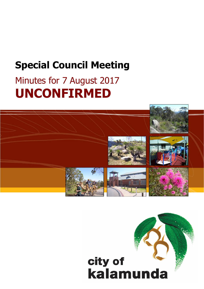# **Special Council Meeting**

# Minutes for 7 August 2017 **UNCONFIRMED**



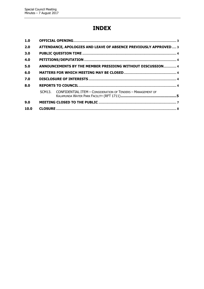# **INDEX**

| 1.0  |                                                                  |                                                                     |  |  |  |
|------|------------------------------------------------------------------|---------------------------------------------------------------------|--|--|--|
| 2.0  | ATTENDANCE, APOLOGIES AND LEAVE OF ABSENCE PREVIOUSLY APPROVED 3 |                                                                     |  |  |  |
| 3.0  |                                                                  |                                                                     |  |  |  |
| 4.0  |                                                                  |                                                                     |  |  |  |
| 5.0  |                                                                  | ANNOUNCEMENTS BY THE MEMBER PRESIDING WITHOUT DISCUSSION 4          |  |  |  |
| 6.0  |                                                                  |                                                                     |  |  |  |
| 7.0  |                                                                  |                                                                     |  |  |  |
| 8.0  |                                                                  |                                                                     |  |  |  |
|      |                                                                  | SCM13. CONFIDENTIAL ITEM - CONSIDERATION OF TENDERS - MANAGEMENT OF |  |  |  |
| 9.0  |                                                                  |                                                                     |  |  |  |
| 10.0 |                                                                  |                                                                     |  |  |  |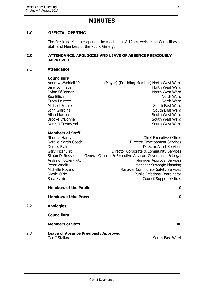# **MINUTES**

## <span id="page-2-0"></span>**1.0 OFFICIAL OPENING**

The Presiding Member opened the meeting at 8.12pm, welcoming Councillors, Staff and Members of the Public Gallery.

#### <span id="page-2-1"></span>**2.0 ATTENDANCE, APOLOGIES AND LEAVE OF ABSENCE PREVIOUSLY APPROVED**

#### 2.1 **Attendance**

2.2 **Apologies**

#### **Councillors**

Andrew Waddell JP (Mayor) (Presiding Member) North West Ward Sara Lohmeyer North West Ward Dylan O'Connor North West Ward Sue Bilich North Ward Tracy Destree North Ward Michael Fernie South East Ward John Giardina National South East Ward Allan Morton **South West Ward** Brooke O'Donnell South West Ward Noreen Townsend South West Ward

#### **Members of Staff**

| Rhonda Hardy                 | <b>Chief Executive Officer</b>                          |   |
|------------------------------|---------------------------------------------------------|---|
| Natalie Martin Goode         | Director Development Services                           |   |
| Dennis Blair                 | Director Asset Services                                 |   |
| Gary Ticehurst               | Director Corporate & Community Services                 |   |
| Simon Di Rosso               | General Counsel & Executive Advisor, Governance & Legal |   |
| <b>Andrew Fowler-Tutt</b>    | <b>Manager Approval Services</b>                        |   |
| Peter Varelis                | Manager Strategic Planning                              |   |
| Michelle Rogers              | <b>Manager Community Safety Services</b>                |   |
| Nicole O'Neill               | <b>Public Relations Coordinator</b>                     |   |
| Sara Slavin                  | <b>Council Support Officer</b>                          |   |
| <b>Members of the Public</b> | 10                                                      |   |
| <b>Members of the Press</b>  |                                                         | 0 |
| <b>Apologies</b>             |                                                         |   |
| <b>Councillors</b>           |                                                         |   |
| <b>Members of Staff</b>      | Nil.                                                    |   |

2.3 **Leave of Absence Previously Approved** Geoff Stallard South East Ward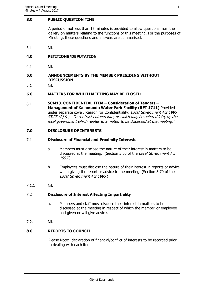#### <span id="page-3-0"></span>**3.0 PUBLIC QUESTION TIME**

A period of not less than 15 minutes is provided to allow questions from the gallery on matters relating to the functions of this meeting. For the purposes of Minuting, these questions and answers are summarised.

3.1 Nil.

### <span id="page-3-1"></span>**4.0 PETITIONS/DEPUTATION**

4.1 Nil.

#### <span id="page-3-2"></span>**5.0 ANNOUNCEMENTS BY THE MEMBER PRESIDING WITHOUT DISCUSSION**

5.1 Nil.

#### <span id="page-3-3"></span>**6.0 MATTERS FOR WHICH MEETING MAY BE CLOSED**

6.1 **SCM13. CONFIDENTIAL ITEM – Consideration of Tenders – Management of Kalamunda Water Park Facility (RFT 1711)** Provided under separate cover. Reason for Confidentiality: Local Government Act 1995  $S5.23$  (2) (c) – "a contract entered into, or which may be entered into, by the local government which relates to a matter to be discussed at the meeting."

#### <span id="page-3-4"></span>**7.0 DISCLOSURE OF INTERESTS**

#### 7.1 **Disclosure of Financial and Proximity Interests**

- a. Members must disclose the nature of their interest in matters to be discussed at the meeting. (Section 5.65 of the Local Government Act 1995.)
- b. Employees must disclose the nature of their interest in reports or advice when giving the report or advice to the meeting. (Section 5.70 of the Local Government Act 1995.)
- 7.1.1 Nil.

#### 7.2 **Disclosure of Interest Affecting Impartiality**

- a. Members and staff must disclose their interest in matters to be discussed at the meeting in respect of which the member or employee had given or will give advice.
- 7.2.1 Nil.

#### <span id="page-3-5"></span>**8.0 REPORTS TO COUNCIL**

Please Note: declaration of financial/conflict of interests to be recorded prior to dealing with each item.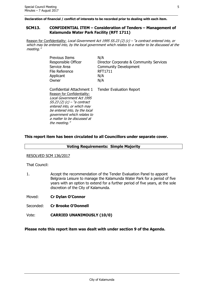**Declaration of financial / conflict of interests to be recorded prior to dealing with each item.**

#### <span id="page-4-0"></span>**SCM13. CONFIDENTIAL ITEM – Consideration of Tenders – Management of Kalamunda Water Park Facility (RFT 1711)**

Reason for Confidentiality: Local Government Act 1995 S5.23 (2) (c) - "a contract entered into, or which may be entered into, by the local government which relates to a matter to be discussed at the meeting."

| Previous Items                                                                                                                                                                                                                                                       | N/A                                     |
|----------------------------------------------------------------------------------------------------------------------------------------------------------------------------------------------------------------------------------------------------------------------|-----------------------------------------|
| Responsible Officer                                                                                                                                                                                                                                                  | Director Corporate & Community Services |
| Service Area                                                                                                                                                                                                                                                         | <b>Community Development</b>            |
| File Reference                                                                                                                                                                                                                                                       | <b>RFT1711</b>                          |
| Applicant                                                                                                                                                                                                                                                            | N/A                                     |
| Owner                                                                                                                                                                                                                                                                | N/A                                     |
| Confidential Attachment 1<br>Reason for Confidentiality:<br>Local Government Act 1995<br>$55.23$ (2) (c) – "a contract<br>entered into, or which may<br>be entered into, by the local<br>government which relates to<br>a matter to be discussed at<br>the meeting." | <b>Tender Evaluation Report</b>         |

#### **This report item has been circulated to all Councillors under separate cover.**

#### **Voting Requirements: Simple Majority**

#### RESOLVED SCM 136/2017

That Council:

1. Accept the recommendation of the Tender Evaluation Panel to appoint Belgravia Leisure to manage the Kalamunda Water Park for a period of five years with an option to extend for a further period of five years, at the sole discretion of the City of Kalamunda.

Moved: **Cr Dylan O'Connor**

Seconded: **Cr Brooke O'Donnell**

Vote: **CARRIED UNANIMOUSLY (10/0)**

**Please note this report item was dealt with under section 9 of the Agenda.**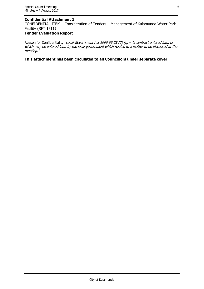#### **Confidential Attachment 1**

CONFIDENTIAL ITEM – Consideration of Tenders – Management of Kalamunda Water Park Facility (RFT 1711)

## **Tender Evaluation Report**

Reason for Confidentiality: Local Government Act 1995 S5.23 (2) (c) - "a contract entered into, or which may be entered into, by the local government which relates to a matter to be discussed at the meeting."

## **This attachment has been circulated to all Councillors under separate cover**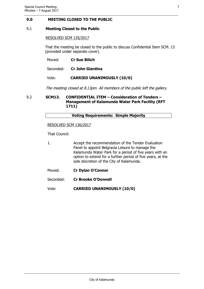#### <span id="page-6-0"></span>**9.0 MEETING CLOSED TO THE PUBLIC**

#### 9.1 **Meeting Closed to the Public**

#### RESOLVED SCM 135/2017

That the meeting be closed to the public to discuss Confidential Item SCM. 13 (provided under separate cover).

| Moved: | <b>Cr Sue Bilich</b> |
|--------|----------------------|
|        |                      |

| Seconded: |  | <b>Cr John Giardina</b> |
|-----------|--|-------------------------|
|           |  |                         |

Vote: **CARRIED UNANIMOUSLY (10/0)**

The meeting closed at 8.13pm. All members of the public left the gallery.

#### 9.2 **SCM13. CONFIDENTIAL ITEM – Consideration of Tenders – Management of Kalamunda Water Park Facility (RFT 1711)**

#### **Voting Requirements: Simple Majority**

#### RESOLVED SCM 136/2017

That Council:

- 1. Accept the recommendation of the Tender Evaluation Panel to appoint Belgravia Leisure to manage the Kalamunda Water Park for a period of five years with an option to extend for a further period of five years, at the sole discretion of the City of Kalamunda.
- Moved: **Cr Dylan O'Connor**
- Seconded: **Cr Brooke O'Donnell**
- Vote: **CARRIED UNANIMOUSLY (10/0)**